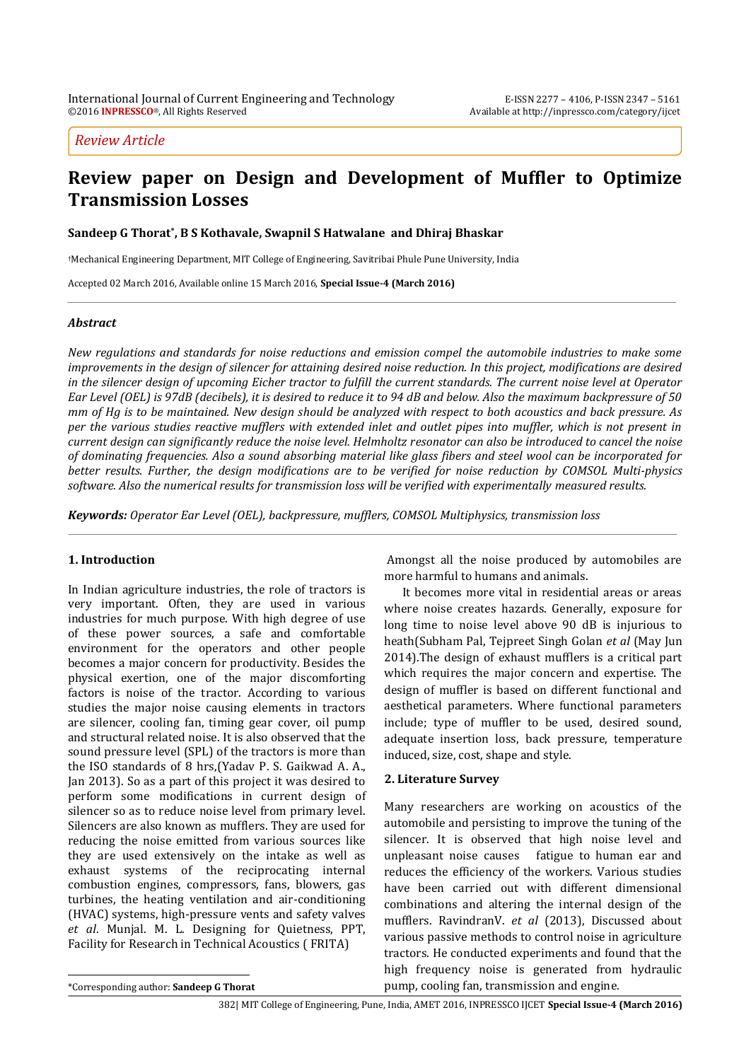### *Review Article*

# **Review paper on Design and Development of Muffler to Optimize Transmission Losses**

**Sandeep G Thorat\* , B S Kothavale, Swapnil S Hatwalane and Dhiraj Bhaskar**

†Mechanical Engineering Department, MIT College of Engineering, Savitribai Phule Pune University, India

Accepted 02 March 2016, Available online 15 March 2016, **Special Issue-4 (March 2016)**

#### *Abstract*

*New regulations and standards for noise reductions and emission compel the automobile industries to make some improvements in the design of silencer for attaining desired noise reduction. In this project, modifications are desired in the silencer design of upcoming Eicher tractor to fulfill the current standards. The current noise level at Operator Ear Level (OEL) is 97dB (decibels), it is desired to reduce it to 94 dB and below. Also the maximum backpressure of 50 mm of Hg is to be maintained. New design should be analyzed with respect to both acoustics and back pressure. As per the various studies reactive mufflers with extended inlet and outlet pipes into muffler, which is not present in current design can significantly reduce the noise level. Helmholtz resonator can also be introduced to cancel the noise of dominating frequencies. Also a sound absorbing material like glass fibers and steel wool can be incorporated for better results. Further, the design modifications are to be verified for noise reduction by COMSOL Multi-physics software. Also the numerical results for transmission loss will be verified with experimentally measured results.*

*Keywords: Operator Ear Level (OEL), backpressure, mufflers, COMSOL Multiphysics, transmission loss*

#### **1. Introduction**

<sup>1</sup> In Indian agriculture industries, the role of tractors is very important. Often, they are used in various industries for much purpose. With high degree of use of these power sources, a safe and comfortable environment for the operators and other people becomes a major concern for productivity. Besides the physical exertion, one of the major discomforting factors is noise of the tractor. According to various studies the major noise causing elements in tractors are silencer, cooling fan, timing gear cover, oil pump and structural related noise. It is also observed that the sound pressure level (SPL) of the tractors is more than the ISO standards of 8 hrs,(Yadav P. S. Gaikwad A. A., Jan 2013). So as a part of this project it was desired to perform some modifications in current design of silencer so as to reduce noise level from primary level. Silencers are also known as mufflers. They are used for reducing the noise emitted from various sources like they are used extensively on the intake as well as exhaust systems of the reciprocating internal combustion engines, compressors, fans, blowers, gas turbines, the heating ventilation and air-conditioning (HVAC) systems, high-pressure vents and safety valves *et al*. Munjal. M. L. Designing for Quietness, PPT, Facility for Research in Technical Acoustics ( FRITA)

Amongst all the noise produced by automobiles are more harmful to humans and animals.

It becomes more vital in residential areas or areas where noise creates hazards. Generally, exposure for long time to noise level above 90 dB is injurious to heath(Subham Pal, Tejpreet Singh Golan *et al* (May Jun 2014).The design of exhaust mufflers is a critical part which requires the major concern and expertise. The design of muffler is based on different functional and aesthetical parameters. Where functional parameters include; type of muffler to be used, desired sound, adequate insertion loss, back pressure, temperature induced, size, cost, shape and style.

### **2. Literature Survey**

Many researchers are working on acoustics of the automobile and persisting to improve the tuning of the silencer. It is observed that high noise level and unpleasant noise causes fatigue to human ear and reduces the efficiency of the workers. Various studies have been carried out with different dimensional combinations and altering the internal design of the mufflers. RavindranV. *et al* (2013), Discussed about various passive methods to control noise in agriculture tractors. He conducted experiments and found that the high frequency noise is generated from hydraulic pump, cooling fan, transmission and engine.

 $\overline{a}$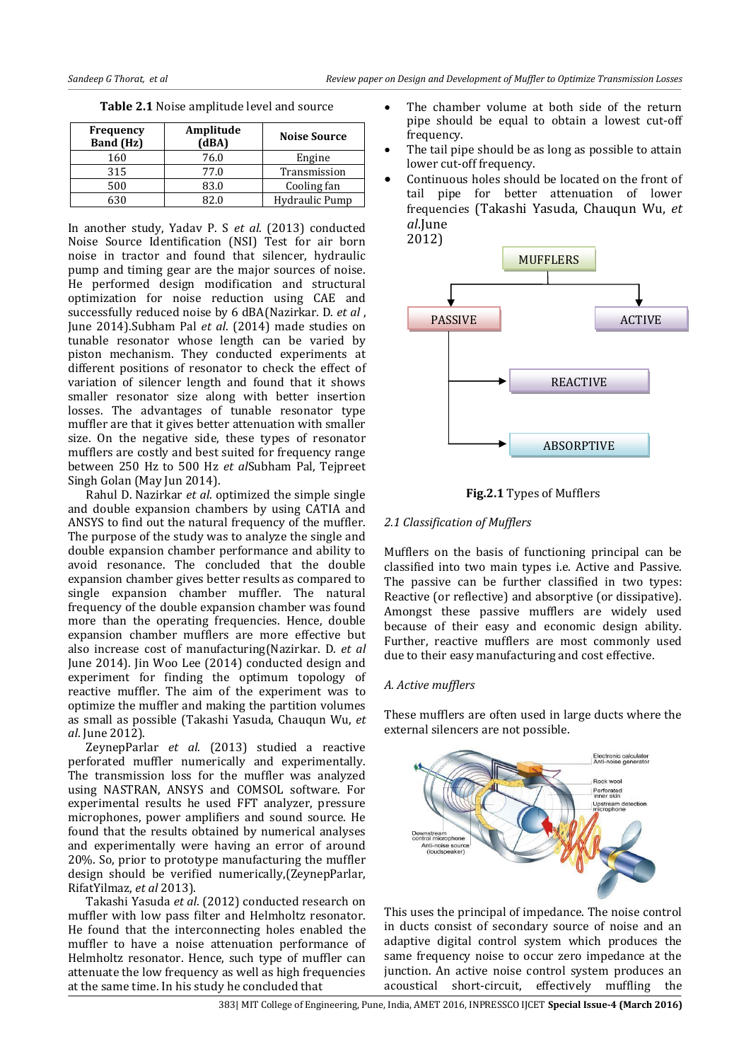| <b>Frequency</b><br><b>Band (Hz)</b> | Amplitude<br>(dBA) | <b>Noise Source</b> |
|--------------------------------------|--------------------|---------------------|
| 160                                  | 76.0               | Engine              |
| 315                                  | 77.0               | Transmission        |
| 500                                  | 83.0               | Cooling fan         |
| 630                                  |                    | Hydraulic Pump      |

**Table 2.1** Noise amplitude level and source

In another study, Yadav P. S *et al*. (2013) conducted Noise Source Identification (NSI) Test for air born noise in tractor and found that silencer, hydraulic pump and timing gear are the major sources of noise. He performed design modification and structural optimization for noise reduction using CAE and successfully reduced noise by 6 dBA(Nazirkar. D. *et al* , June 2014).Subham Pal *et al*. (2014) made studies on tunable resonator whose length can be varied by piston mechanism. They conducted experiments at different positions of resonator to check the effect of variation of silencer length and found that it shows smaller resonator size along with better insertion losses. The advantages of tunable resonator type muffler are that it gives better attenuation with smaller size. On the negative side, these types of resonator mufflers are costly and best suited for frequency range between 250 Hz to 500 Hz *et al*Subham Pal, Tejpreet Singh Golan (May Jun 2014).

Rahul D. Nazirkar *et al*. optimized the simple single and double expansion chambers by using CATIA and ANSYS to find out the natural frequency of the muffler. The purpose of the study was to analyze the single and double expansion chamber performance and ability to avoid resonance. The concluded that the double expansion chamber gives better results as compared to single expansion chamber muffler. The natural frequency of the double expansion chamber was found more than the operating frequencies. Hence, double expansion chamber mufflers are more effective but also increase cost of manufacturing(Nazirkar. D. *et al* June 2014). Jin Woo Lee (2014) conducted design and experiment for finding the optimum topology of reactive muffler. The aim of the experiment was to optimize the muffler and making the partition volumes as small as possible (Takashi Yasuda, Chauqun Wu, *et al*. June 2012).

ZeynepParlar *et al*. (2013) studied a reactive perforated muffler numerically and experimentally. The transmission loss for the muffler was analyzed using NASTRAN, ANSYS and COMSOL software. For experimental results he used FFT analyzer, pressure microphones, power amplifiers and sound source. He found that the results obtained by numerical analyses and experimentally were having an error of around 20%. So, prior to prototype manufacturing the muffler design should be verified numerically,(ZeynepParlar, RifatYilmaz, *et al* 2013).

Takashi Yasuda *et al*. (2012) conducted research on muffler with low pass filter and Helmholtz resonator. He found that the interconnecting holes enabled the muffler to have a noise attenuation performance of Helmholtz resonator. Hence, such type of muffler can attenuate the low frequency as well as high frequencies at the same time. In his study he concluded that

- The chamber volume at both side of the return pipe should be equal to obtain a lowest cut-off frequency.
- The tail pipe should be as long as possible to attain lower cut-off frequency.
- Continuous holes should be located on the front of tail pipe for better attenuation of lower frequencies (Takashi Yasuda, Chauqun Wu, *et al*.June



**Fig.2.1** Types of Mufflers

### *2.1 Classification of Mufflers*

Mufflers on the basis of functioning principal can be classified into two main types i.e. Active and Passive. The passive can be further classified in two types: Reactive (or reflective) and absorptive (or dissipative). Amongst these passive mufflers are widely used because of their easy and economic design ability. Further, reactive mufflers are most commonly used due to their easy manufacturing and cost effective.

### *A. Active mufflers*

These mufflers are often used in large ducts where the external silencers are not possible.



This uses the principal of impedance. The noise control in ducts consist of secondary source of noise and an adaptive digital control system which produces the same frequency noise to occur zero impedance at the junction. An active noise control system produces an acoustical short-circuit, effectively muffling the

383| MIT College of Engineering, Pune, India, AMET 2016, INPRESSCO IJCET **Special Issue-4 (March 2016)**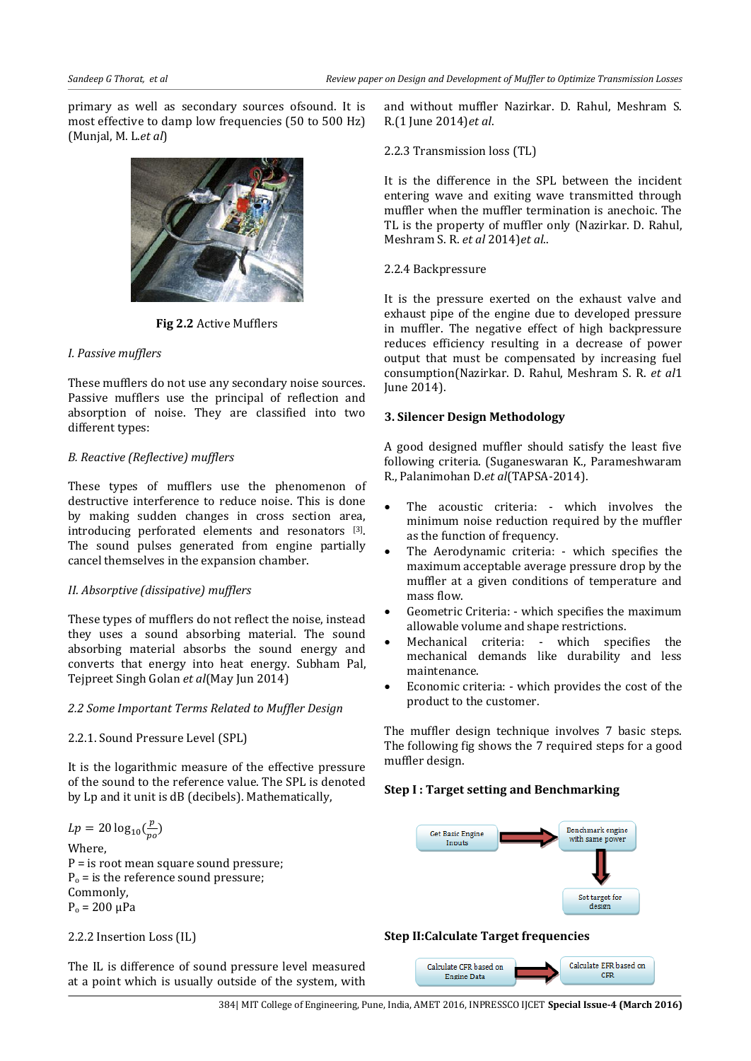primary as well as secondary sources ofsound. It is most effective to damp low frequencies (50 to 500 Hz) (Munjal, M. L.*et al*)



**Fig 2.2** Active Mufflers

### *I. Passive mufflers*

These mufflers do not use any secondary noise sources. Passive mufflers use the principal of reflection and absorption of noise. They are classified into two different types:

### *B. Reactive (Reflective) mufflers*

These types of mufflers use the phenomenon of destructive interference to reduce noise. This is done by making sudden changes in cross section area, introducing perforated elements and resonators [3]. The sound pulses generated from engine partially cancel themselves in the expansion chamber.

### *II. Absorptive (dissipative) mufflers*

These types of mufflers do not reflect the noise, instead they uses a sound absorbing material. The sound absorbing material absorbs the sound energy and converts that energy into heat energy. Subham Pal, Tejpreet Singh Golan *et al*(May Jun 2014)

### *2.2 Some Important Terms Related to Muffler Design*

### 2.2.1. Sound Pressure Level (SPL)

It is the logarithmic measure of the effective pressure of the sound to the reference value. The SPL is denoted by Lp and it unit is dB (decibels). Mathematically,

$$
Lp = 20 \log_{10}(\frac{p}{po})
$$

Where, P = is root mean square sound pressure;  $P_0$  = is the reference sound pressure; Commonly,  $P_0 = 200 \mu Pa$ 

2.2.2 Insertion Loss (IL)

The IL is difference of sound pressure level measured at a point which is usually outside of the system, with and without muffler Nazirkar. D. Rahul, Meshram S. R.(1 June 2014)*et al*.

2.2.3 Transmission loss (TL)

It is the difference in the SPL between the incident entering wave and exiting wave transmitted through muffler when the muffler termination is anechoic. The TL is the property of muffler only (Nazirkar. D. Rahul, Meshram S. R. *et al* 2014)*et al*..

### 2.2.4 Backpressure

It is the pressure exerted on the exhaust valve and exhaust pipe of the engine due to developed pressure in muffler. The negative effect of high backpressure reduces efficiency resulting in a decrease of power output that must be compensated by increasing fuel consumption(Nazirkar. D. Rahul, Meshram S. R. *et al*1 June 2014).

### **3. Silencer Design Methodology**

A good designed muffler should satisfy the least five following criteria. (Suganeswaran K., Parameshwaram R., Palanimohan D.*et al*(TAPSA-2014).

- The acoustic criteria: which involves the minimum noise reduction required by the muffler as the function of frequency.
- The Aerodynamic criteria: which specifies the maximum acceptable average pressure drop by the muffler at a given conditions of temperature and mass flow.
- Geometric Criteria: which specifies the maximum allowable volume and shape restrictions.
- Mechanical criteria: which specifies the mechanical demands like durability and less maintenance.
- Economic criteria: which provides the cost of the product to the customer.

The muffler design technique involves 7 basic steps. The following fig shows the 7 required steps for a good muffler design.

### **Step I : Target setting and Benchmarking**



## **Step II:Calculate Target frequencies**

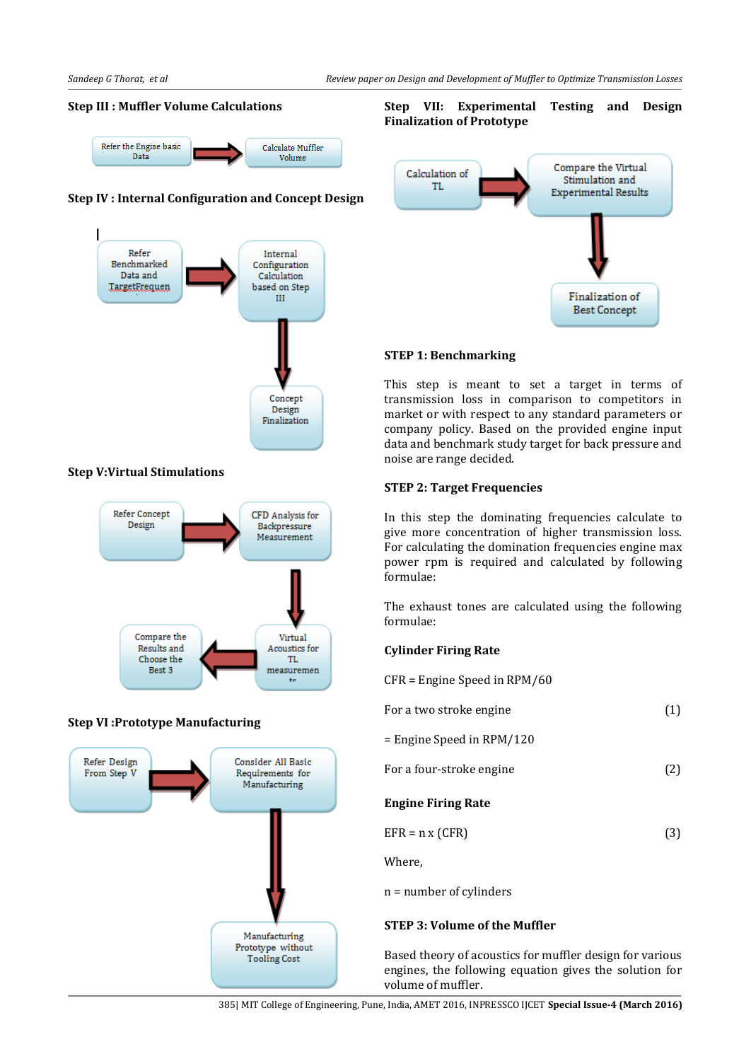### **Step III : Muffler Volume Calculations**



### **Step IV : Internal Configuration and Concept Design**



#### **Step V:Virtual Stimulations**



#### **Step VI :Prototype Manufacturing**



### **Step VII: Experimental Testing and Design Finalization of Prototype**



### **STEP 1: Benchmarking**

This step is meant to set a target in terms of transmission loss in comparison to competitors in market or with respect to any standard parameters or company policy. Based on the provided engine input data and benchmark study target for back pressure and noise are range decided.

#### **STEP 2: Target Frequencies**

In this step the dominating frequencies calculate to give more concentration of higher transmission loss. For calculating the domination frequencies engine max power rpm is required and calculated by following formulae:

The exhaust tones are calculated using the following formulae:

#### **Cylinder Firing Rate**

CFR = Engine Speed in RPM/60

| For a two stroke engine     | (1) |
|-----------------------------|-----|
| $=$ Engine Speed in RPM/120 |     |
| For a four-stroke engine    | (2) |
| <b>Engine Firing Rate</b>   |     |
| $EFR = n \times (CFR)$      | (3) |
| Where,                      |     |
| $n = number of cylinders$   |     |
|                             |     |

#### **STEP 3: Volume of the Muffler**

Based theory of acoustics for muffler design for various engines, the following equation gives the solution for volume of muffler.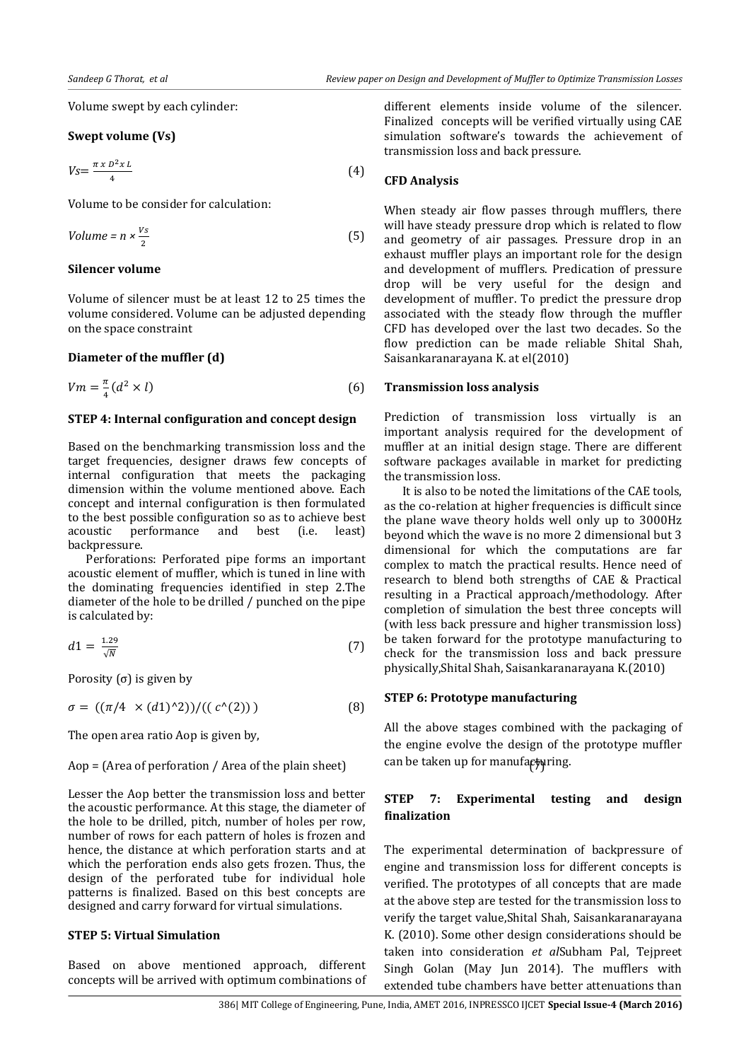Volume swept by each cylinder:

#### **Swept volume (Vs)**

$$
V_{S} = \frac{\pi \times D^2 \times L}{4} \tag{4}
$$

Volume to be consider for calculation:

$$
Volume = n \times \frac{v_s}{2} \tag{5}
$$

#### **Silencer volume**

Volume of silencer must be at least 12 to 25 times the volume considered. Volume can be adjusted depending on the space constraint

#### **Diameter of the muffler (d)**

$$
Vm = \frac{\pi}{4} (d^2 \times l) \tag{6}
$$

#### **STEP 4: Internal configuration and concept design**

Based on the benchmarking transmission loss and the target frequencies, designer draws few concepts of internal configuration that meets the packaging dimension within the volume mentioned above. Each concept and internal configuration is then formulated to the best possible configuration so as to achieve best acoustic performance and best (i.e. least) backpressure.

Perforations: Perforated pipe forms an important acoustic element of muffler, which is tuned in line with the dominating frequencies identified in step 2.The diameter of the hole to be drilled / punched on the pipe is calculated by:

$$
d1 = \frac{1.29}{\sqrt{N}}\tag{7}
$$

Porosity  $(σ)$  is given by

 $\sigma = ((\pi/4 \times (d1)^{2})) / ((c^{2}(2)))$  (8)

The open area ratio Aop is given by,

#### Aop = (Area of perforation / Area of the plain sheet)

Lesser the Aop better the transmission loss and better the acoustic performance. At this stage, the diameter of the hole to be drilled, pitch, number of holes per row, number of rows for each pattern of holes is frozen and hence, the distance at which perforation starts and at which the perforation ends also gets frozen. Thus, the design of the perforated tube for individual hole patterns is finalized. Based on this best concepts are designed and carry forward for virtual simulations.

#### **STEP 5: Virtual Simulation**

Based on above mentioned approach, different concepts will be arrived with optimum combinations of different elements inside volume of the silencer. Finalized concepts will be verified virtually using CAE simulation software's towards the achievement of transmission loss and back pressure.

#### **CFD Analysis**

When steady air flow passes through mufflers, there will have steady pressure drop which is related to flow and geometry of air passages. Pressure drop in an exhaust muffler plays an important role for the design and development of mufflers. Predication of pressure drop will be very useful for the design and development of muffler. To predict the pressure drop associated with the steady flow through the muffler CFD has developed over the last two decades. So the flow prediction can be made reliable Shital Shah, Saisankaranarayana K. at el(2010)

#### **Transmission loss analysis**

Prediction of transmission loss virtually is an important analysis required for the development of muffler at an initial design stage. There are different software packages available in market for predicting the transmission loss.

It is also to be noted the limitations of the CAE tools, as the co-relation at higher frequencies is difficult since the plane wave theory holds well only up to 3000Hz beyond which the wave is no more 2 dimensional but 3 dimensional for which the computations are far complex to match the practical results. Hence need of research to blend both strengths of CAE & Practical resulting in a Practical approach/methodology. After completion of simulation the best three concepts will (with less back pressure and higher transmission loss) be taken forward for the prototype manufacturing to check for the transmission loss and back pressure physically,Shital Shah, Saisankaranarayana K.(2010)

#### **STEP 6: Prototype manufacturing**

All the above stages combined with the packaging of the engine evolve the design of the prototype muffler can be taken up for manufacturing.

### **STEP 7: Experimental testing and design finalization**

The experimental determination of backpressure of engine and transmission loss for different concepts is verified. The prototypes of all concepts that are made at the above step are tested for the transmission loss to verify the target value,Shital Shah, Saisankaranarayana K. (2010). Some other design considerations should be taken into consideration *et al*Subham Pal, Tejpreet Singh Golan (May Jun 2014). The mufflers with extended tube chambers have better attenuations than